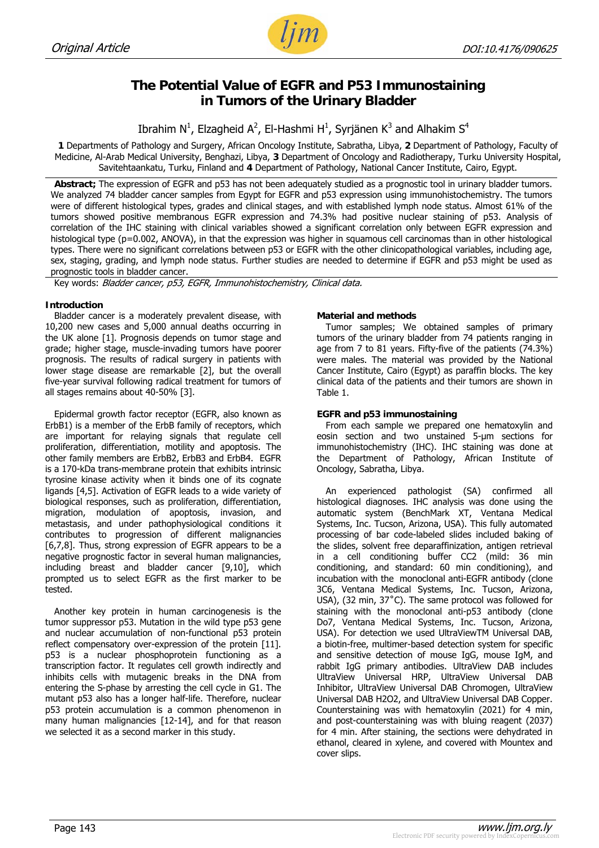

# **The Potential Value of EGFR and P53 Immunostaining in Tumors of the Urinary Bladder**

Ibrahim N<sup>1</sup>, Elzagheid A<sup>2</sup>, El-Hashmi H<sup>1</sup>, Syrjänen K<sup>3</sup> and Alhakim S<sup>4</sup>

**1** Departments of Pathology and Surgery, African Oncology Institute, Sabratha, Libya, **2** Department of Pathology, Faculty of Medicine, Al-Arab Medical University, Benghazi, Libya, **3** Department of Oncology and Radiotherapy, Turku University Hospital, Savitehtaankatu, Turku, Finland and **4** Department of Pathology, National Cancer Institute, Cairo, Egypt.

**Abstract;** The expression of EGFR and p53 has not been adequately studied as a prognostic tool in urinary bladder tumors. We analyzed 74 bladder cancer samples from Egypt for EGFR and p53 expression using immunohistochemistry. The tumors were of different histological types, grades and clinical stages, and with established lymph node status. Almost 61% of the tumors showed positive membranous EGFR expression and 74.3% had positive nuclear staining of p53. Analysis of correlation of the IHC staining with clinical variables showed a significant correlation only between EGFR expression and histological type (p=0.002, ANOVA), in that the expression was higher in squamous cell carcinomas than in other histological types. There were no significant correlations between p53 or EGFR with the other clinicopathological variables, including age, sex, staging, grading, and lymph node status. Further studies are needed to determine if EGFR and p53 might be used as prognostic tools in bladder cancer.

Key words: Bladder cancer, p53, EGFR, Immunohistochemistry, Clinical data.

# **Introduction**

Bladder cancer is a moderately prevalent disease, with 10,200 new cases and 5,000 annual deaths occurring in the UK alone [1]. Prognosis depends on tumor stage and grade; higher stage, muscle-invading tumors have poorer prognosis. The results of radical surgery in patients with lower stage disease are remarkable [2], but the overall five-year survival following radical treatment for tumors of all stages remains about 40-50% [3].

Epidermal growth factor receptor (EGFR, also known as ErbB1) is a member of the ErbB family of receptors, which are important for relaying signals that regulate cell proliferation, differentiation, motility and apoptosis. The other family members are ErbB2, ErbB3 and ErbB4. EGFR is a 170-kDa trans-membrane protein that exhibits intrinsic tyrosine kinase activity when it binds one of its cognate ligands [4,5]. Activation of EGFR leads to a wide variety of biological responses, such as proliferation, differentiation, migration, modulation of apoptosis, invasion, and metastasis, and under pathophysiological conditions it contributes to progression of different malignancies [6,7,8]. Thus, strong expression of EGFR appears to be a negative prognostic factor in several human malignancies, including breast and bladder cancer [9,10], which prompted us to select EGFR as the first marker to be tested.

Another key protein in human carcinogenesis is the tumor suppressor p53. Mutation in the wild type p53 gene and nuclear accumulation of non-functional p53 protein reflect compensatory over-expression of the protein [11]. p53 is a nuclear phosphoprotein functioning as a transcription factor. It regulates cell growth indirectly and inhibits cells with mutagenic breaks in the DNA from entering the S-phase by arresting the cell cycle in G1. The mutant p53 also has a longer half-life. Therefore, nuclear p53 protein accumulation is a common phenomenon in many human malignancies [12-14], and for that reason we selected it as a second marker in this study.

# **Material and methods**

Tumor samples; We obtained samples of primary tumors of the urinary bladder from 74 patients ranging in age from 7 to 81 years. Fifty-five of the patients (74.3%) were males. The material was provided by the National Cancer Institute, Cairo (Egypt) as paraffin blocks. The key clinical data of the patients and their tumors are shown in Table 1.

# **EGFR and p53 immunostaining**

From each sample we prepared one hematoxylin and eosin section and two unstained 5-µm sections for immunohistochemistry (IHC). IHC staining was done at the Department of Pathology, African Institute of Oncology, Sabratha, Libya.

An experienced pathologist (SA) confirmed all histological diagnoses. IHC analysis was done using the automatic system (BenchMark XT, Ventana Medical Systems, Inc. Tucson, Arizona, USA). This fully automated processing of bar code-labeled slides included baking of the slides, solvent free deparaffinization, antigen retrieval in a cell conditioning buffer CC2 (mild: 36 min conditioning, and standard: 60 min conditioning), and incubation with the monoclonal anti-EGFR antibody (clone 3C6, Ventana Medical Systems, Inc. Tucson, Arizona, USA), (32 min, 37˚C). The same protocol was followed for staining with the monoclonal anti-p53 antibody (clone Do7, Ventana Medical Systems, Inc. Tucson, Arizona, USA). For detection we used UltraViewTM Universal DAB, a biotin-free, multimer-based detection system for specific and sensitive detection of mouse IgG, mouse IgM, and rabbit IgG primary antibodies. UltraView DAB includes UltraView Universal HRP, UltraView Universal DAB Inhibitor, UltraView Universal DAB Chromogen, UltraView Universal DAB H2O2, and UltraView Universal DAB Copper. Counterstaining was with hematoxylin (2021) for 4 min, and post-counterstaining was with bluing reagent (2037) for 4 min. After staining, the sections were dehydrated in ethanol, cleared in xylene, and covered with Mountex and cover slips.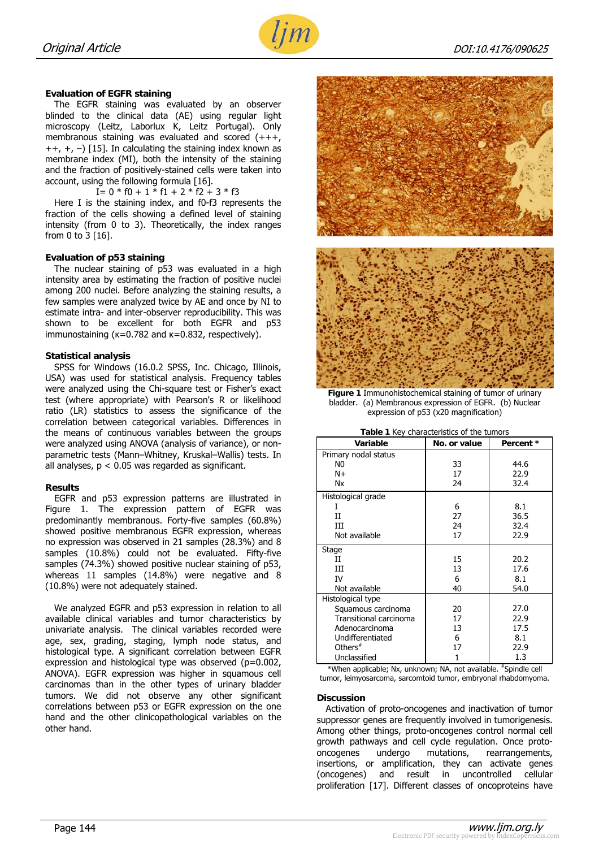

## **Evaluation of EGFR staining**

The EGFR staining was evaluated by an observer blinded to the clinical data (AE) using regular light microscopy (Leitz, Laborlux K, Leitz Portugal). Only membranous staining was evaluated and scored (+++,  $++$ ,  $+$ ,  $-$ ) [15]. In calculating the staining index known as membrane index (MI), both the intensity of the staining and the fraction of positively-stained cells were taken into account, using the following formula [16].

I=  $0 * f0 + 1 * f1 + 2 * f2 + 3 * f3$ 

Here I is the staining index, and f0-f3 represents the fraction of the cells showing a defined level of staining intensity (from 0 to 3). Theoretically, the index ranges from 0 to 3 [16].

#### **Evaluation of p53 staining**

The nuclear staining of p53 was evaluated in a high intensity area by estimating the fraction of positive nuclei among 200 nuclei. Before analyzing the staining results, a few samples were analyzed twice by AE and once by NI to estimate intra- and inter-observer reproducibility. This was shown to be excellent for both EGFR and p53 immunostaining (κ=0.782 and κ=0.832, respectively).

#### **Statistical analysis**

SPSS for Windows (16.0.2 SPSS, Inc. Chicago, Illinois, USA) was used for statistical analysis. Frequency tables were analyzed using the Chi-square test or Fisher's exact test (where appropriate) with Pearson's R or likelihood ratio (LR) statistics to assess the significance of the correlation between categorical variables. Differences in the means of continuous variables between the groups were analyzed using ANOVA (analysis of variance), or nonparametric tests (Mann–Whitney, Kruskal–Wallis) tests. In all analyses, p < 0.05 was regarded as significant.

## **Results**

EGFR and p53 expression patterns are illustrated in Figure 1. The expression pattern of EGFR was predominantly membranous. Forty-five samples (60.8%) showed positive membranous EGFR expression, whereas no expression was observed in 21 samples (28.3%) and 8 samples (10.8%) could not be evaluated. Fifty-five samples (74.3%) showed positive nuclear staining of p53, whereas 11 samples (14.8%) were negative and 8 (10.8%) were not adequately stained.

We analyzed EGFR and p53 expression in relation to all available clinical variables and tumor characteristics by univariate analysis. The clinical variables recorded were age, sex, grading, staging, lymph node status, and histological type. A significant correlation between EGFR expression and histological type was observed (p=0.002, ANOVA). EGFR expression was higher in squamous cell carcinomas than in the other types of urinary bladder tumors. We did not observe any other significant correlations between p53 or EGFR expression on the one hand and the other clinicopathological variables on the other hand.



**Figure 1** Immunohistochemical staining of tumor of urinary bladder. (a) Membranous expression of EGFR. (b) Nuclear expression of p53 (x20 magnification)

|  | Table 1 Key characteristics of the tumors |  |  |
|--|-------------------------------------------|--|--|
|  |                                           |  |  |

| Variable               | No. or value | Percent * |
|------------------------|--------------|-----------|
| Primary nodal status   |              |           |
| N0                     | 33           | 44.6      |
| $N+$                   | 17           | 22.9      |
| <b>Nx</b>              | 24           | 32.4      |
| Histological grade     |              |           |
|                        | 6            | 8.1       |
| Π                      | 27           | 36.5      |
| Ш                      | 24           | 32.4      |
| Not available          | 17           | 22.9      |
| Stage                  |              |           |
| Н                      | 15           | 20.2      |
| Ш                      | 13           | 17.6      |
| TV.                    | 6            | 8.1       |
| Not available          | 40           | 54.0      |
| Histological type      |              |           |
| Squamous carcinoma     | 20           | 27.0      |
| Transitional carcinoma | 17           | 22.9      |
| Adenocarcinoma         | 13           | 17.5      |
| Undifferentiated       | 6            | 8.1       |
| Others $#$             | 17           | 22.9      |
| Unclassified           | 1            | 1.3       |

\*When applicable; Nx, unknown; NA, not available. #Spindle cell tumor, leimyosarcoma, sarcomtoid tumor, embryonal rhabdomyoma.

#### **Discussion**

Activation of proto-oncogenes and inactivation of tumor suppressor genes are frequently involved in tumorigenesis. Among other things, proto-oncogenes control normal cell growth pathways and cell cycle regulation. Once protooncogenes undergo mutations, rearrangements, insertions, or amplification, they can activate genes (oncogenes) and result in uncontrolled cellular proliferation [17]. Different classes of oncoproteins have